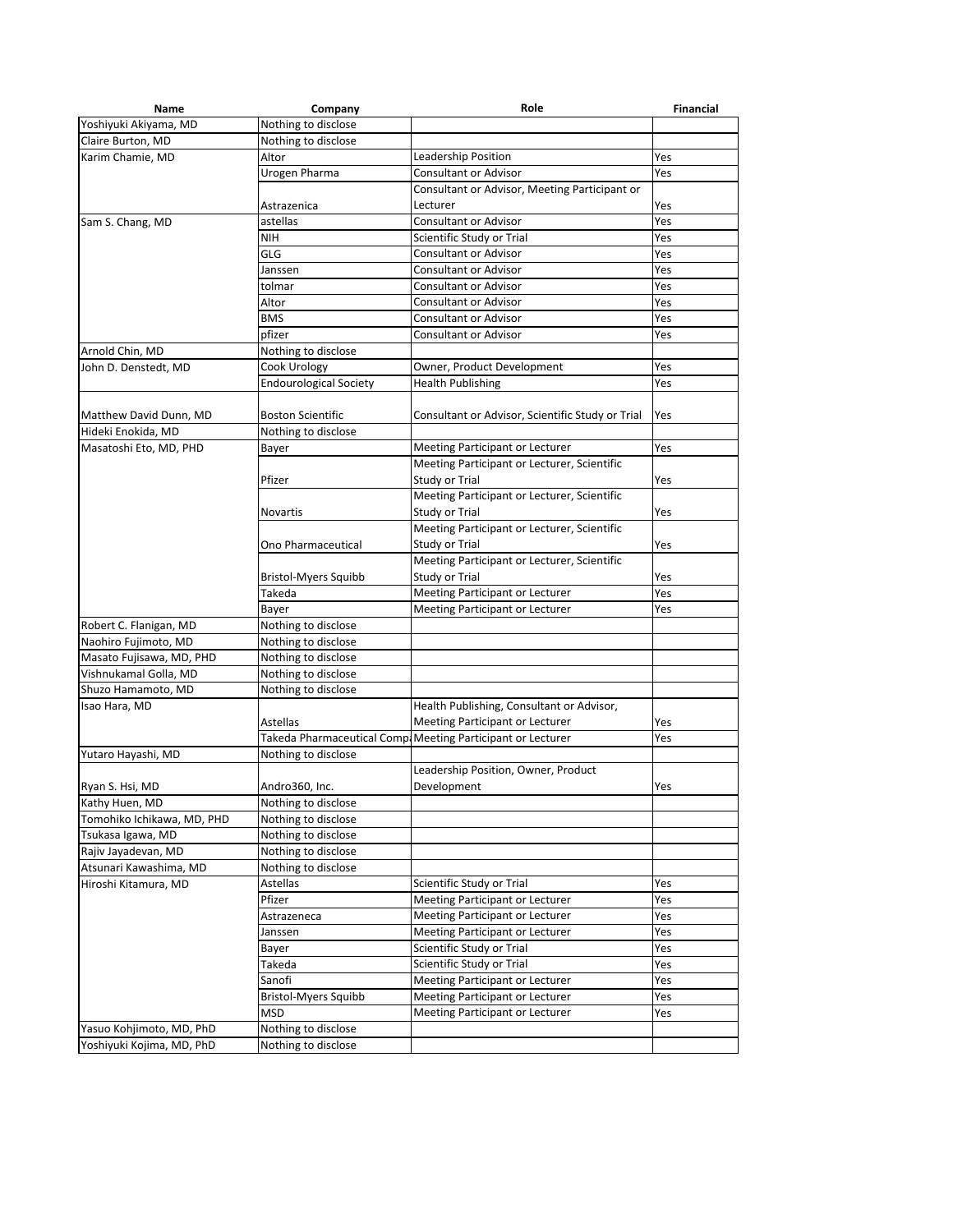| Name                                          | Company                                    | Role                                                        | <b>Financial</b> |
|-----------------------------------------------|--------------------------------------------|-------------------------------------------------------------|------------------|
| Yoshiyuki Akiyama, MD                         | Nothing to disclose                        |                                                             |                  |
| Claire Burton, MD                             | Nothing to disclose                        |                                                             |                  |
| Karim Chamie, MD                              | Altor                                      | Leadership Position                                         | Yes              |
|                                               | Urogen Pharma                              | Consultant or Advisor                                       | Yes              |
|                                               |                                            | Consultant or Advisor, Meeting Participant or               |                  |
|                                               | Astrazenica                                | Lecturer                                                    | Yes              |
| Sam S. Chang, MD                              | astellas                                   | <b>Consultant or Advisor</b>                                | Yes              |
|                                               | <b>NIH</b>                                 | Scientific Study or Trial                                   | Yes              |
|                                               | GLG                                        | <b>Consultant or Advisor</b>                                | Yes              |
|                                               | Janssen                                    | <b>Consultant or Advisor</b>                                | Yes              |
|                                               | tolmar                                     | Consultant or Advisor                                       | Yes              |
|                                               | Altor                                      | <b>Consultant or Advisor</b>                                | Yes              |
|                                               | <b>BMS</b>                                 | <b>Consultant or Advisor</b>                                | Yes              |
|                                               | pfizer                                     | <b>Consultant or Advisor</b>                                | Yes              |
| Arnold Chin, MD                               | Nothing to disclose                        |                                                             |                  |
| John D. Denstedt, MD                          | Cook Urology                               | Owner, Product Development                                  | Yes              |
|                                               | <b>Endourological Society</b>              | <b>Health Publishing</b>                                    | Yes              |
|                                               |                                            |                                                             |                  |
| Matthew David Dunn, MD                        | <b>Boston Scientific</b>                   | Consultant or Advisor, Scientific Study or Trial            | Yes              |
| Hideki Enokida, MD                            | Nothing to disclose                        |                                                             |                  |
| Masatoshi Eto, MD, PHD                        | Bayer                                      | Meeting Participant or Lecturer                             | Yes              |
|                                               |                                            | Meeting Participant or Lecturer, Scientific                 |                  |
|                                               | Pfizer                                     | Study or Trial                                              | Yes              |
|                                               |                                            | Meeting Participant or Lecturer, Scientific                 |                  |
|                                               | Novartis                                   | Study or Trial                                              | Yes              |
|                                               |                                            | Meeting Participant or Lecturer, Scientific                 |                  |
|                                               | Ono Pharmaceutical                         | Study or Trial                                              | Yes              |
|                                               |                                            | Meeting Participant or Lecturer, Scientific                 |                  |
|                                               | <b>Bristol-Myers Squibb</b>                | Study or Trial                                              | Yes              |
|                                               | Takeda                                     | Meeting Participant or Lecturer                             | Yes              |
|                                               | Bayer                                      | Meeting Participant or Lecturer                             | Yes              |
| Robert C. Flanigan, MD                        | Nothing to disclose                        |                                                             |                  |
| Naohiro Fujimoto, MD                          | Nothing to disclose                        |                                                             |                  |
| Masato Fujisawa, MD, PHD                      | Nothing to disclose                        |                                                             |                  |
| Vishnukamal Golla, MD                         | Nothing to disclose                        |                                                             |                  |
| Shuzo Hamamoto, MD                            | Nothing to disclose                        |                                                             |                  |
| Isao Hara, MD                                 |                                            | Health Publishing, Consultant or Advisor,                   |                  |
|                                               | Astellas                                   | Meeting Participant or Lecturer                             | Yes              |
|                                               |                                            | Takeda Pharmaceutical Comp. Meeting Participant or Lecturer | Yes              |
| Yutaro Hayashi, MD                            | Nothing to disclose                        |                                                             |                  |
|                                               |                                            | Leadership Position, Owner, Product                         |                  |
| Ryan S. Hsi, MD                               | Andro360, Inc.                             | Development                                                 | Yes              |
| Kathy Huen, MD                                | Nothing to disclose                        |                                                             |                  |
| Tomohiko Ichikawa, MD, PHD                    | Nothing to disclose                        |                                                             |                  |
| Tsukasa Igawa, MD                             | Nothing to disclose                        |                                                             |                  |
|                                               |                                            |                                                             |                  |
| Rajiv Jayadevan, MD<br>Atsunari Kawashima, MD | Nothing to disclose<br>Nothing to disclose |                                                             |                  |
| Hiroshi Kitamura, MD                          |                                            | Scientific Study or Trial                                   |                  |
|                                               | Astellas<br>Pfizer                         | Meeting Participant or Lecturer                             | Yes              |
|                                               |                                            |                                                             | Yes              |
|                                               | Astrazeneca                                | Meeting Participant or Lecturer                             | Yes              |
|                                               | Janssen                                    | Meeting Participant or Lecturer                             | Yes              |
|                                               | Bayer                                      | Scientific Study or Trial                                   | Yes              |
|                                               | Takeda                                     | Scientific Study or Trial                                   | Yes              |
|                                               | Sanofi                                     | Meeting Participant or Lecturer                             | Yes              |
|                                               | <b>Bristol-Myers Squibb</b>                | Meeting Participant or Lecturer                             | Yes              |
|                                               | MSD                                        | Meeting Participant or Lecturer                             | Yes              |
| Yasuo Kohjimoto, MD, PhD                      | Nothing to disclose                        |                                                             |                  |
| Yoshiyuki Kojima, MD, PhD                     | Nothing to disclose                        |                                                             |                  |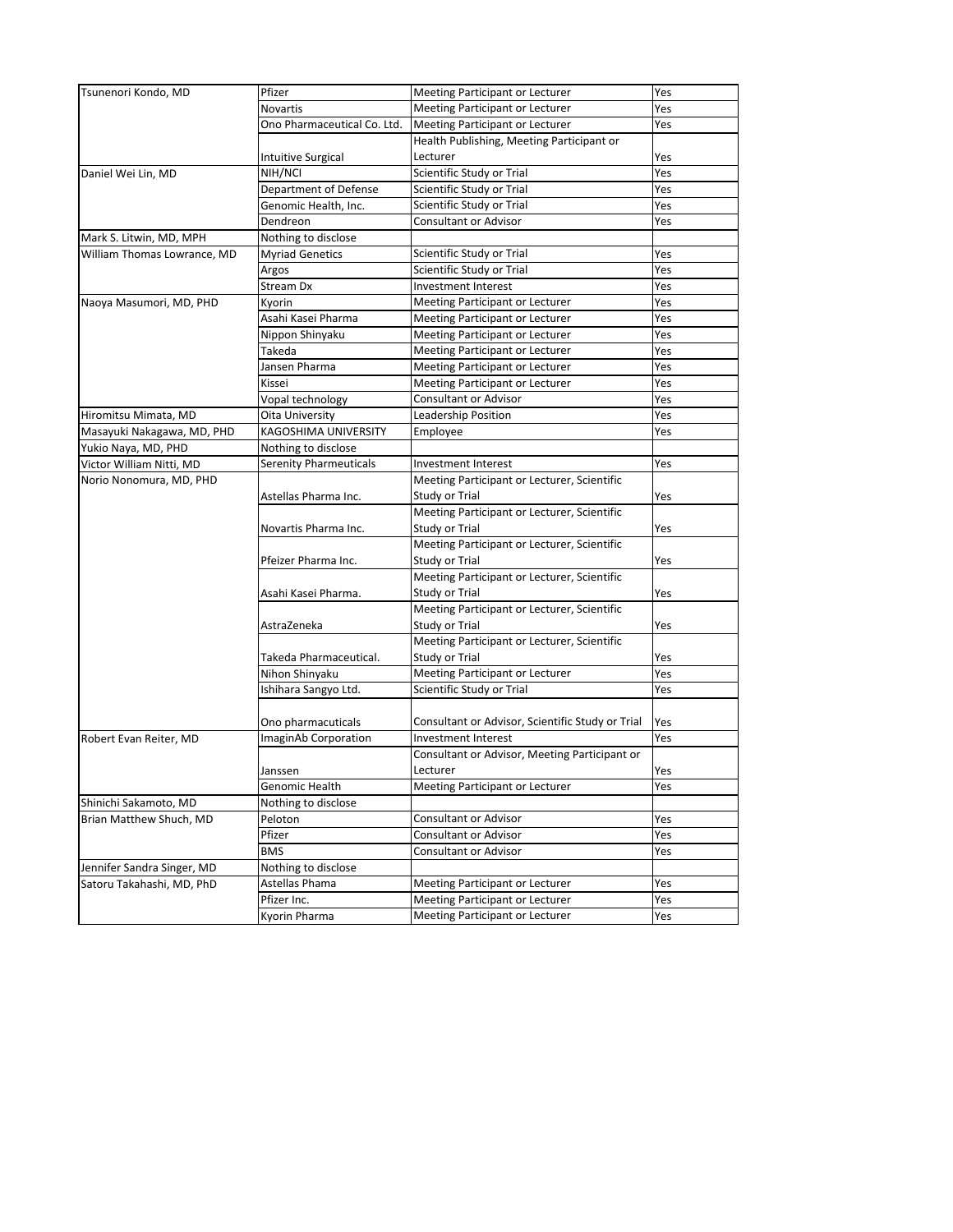| Tsunenori Kondo, MD                              | Pfizer                        | Meeting Participant or Lecturer                  | Yes |
|--------------------------------------------------|-------------------------------|--------------------------------------------------|-----|
|                                                  | Novartis                      | Meeting Participant or Lecturer                  | Yes |
|                                                  | Ono Pharmaceutical Co. Ltd.   | Meeting Participant or Lecturer                  | Yes |
|                                                  |                               | Health Publishing, Meeting Participant or        |     |
|                                                  | <b>Intuitive Surgical</b>     | Lecturer                                         | Yes |
| Daniel Wei Lin, MD                               | NIH/NCI                       | Scientific Study or Trial                        | Yes |
|                                                  | Department of Defense         | Scientific Study or Trial                        | Yes |
|                                                  | Genomic Health, Inc.          | Scientific Study or Trial                        | Yes |
|                                                  | Dendreon                      | <b>Consultant or Advisor</b>                     | Yes |
| Mark S. Litwin, MD, MPH                          | Nothing to disclose           |                                                  |     |
| William Thomas Lowrance, MD                      | <b>Myriad Genetics</b>        | Scientific Study or Trial                        | Yes |
|                                                  | Argos                         | Scientific Study or Trial                        | Yes |
|                                                  | Stream Dx                     | Investment Interest                              | Yes |
| Naoya Masumori, MD, PHD                          | Kyorin                        | Meeting Participant or Lecturer                  | Yes |
|                                                  | Asahi Kasei Pharma            | Meeting Participant or Lecturer                  | Yes |
|                                                  | Nippon Shinyaku               | Meeting Participant or Lecturer                  | Yes |
|                                                  | Takeda                        | Meeting Participant or Lecturer                  | Yes |
|                                                  | Jansen Pharma                 | Meeting Participant or Lecturer                  | Yes |
|                                                  | Kissei                        | Meeting Participant or Lecturer                  | Yes |
|                                                  | Vopal technology              | <b>Consultant or Advisor</b>                     | Yes |
| Hiromitsu Mimata, MD                             | Oita University               | Leadership Position                              | Yes |
| Masayuki Nakagawa, MD, PHD                       | KAGOSHIMA UNIVERSITY          | Employee                                         | Yes |
| Yukio Naya, MD, PHD                              | Nothing to disclose           |                                                  |     |
| Victor William Nitti, MD                         | <b>Serenity Pharmeuticals</b> | Investment Interest                              | Yes |
| Norio Nonomura, MD, PHD                          |                               | Meeting Participant or Lecturer, Scientific      |     |
|                                                  | Astellas Pharma Inc.          | Study or Trial                                   | Yes |
|                                                  |                               | Meeting Participant or Lecturer, Scientific      |     |
|                                                  | Novartis Pharma Inc.          | Study or Trial                                   | Yes |
| Robert Evan Reiter, MD                           |                               | Meeting Participant or Lecturer, Scientific      |     |
|                                                  | Pfeizer Pharma Inc.           | Study or Trial                                   | Yes |
|                                                  |                               | Meeting Participant or Lecturer, Scientific      |     |
|                                                  | Asahi Kasei Pharma.           | Study or Trial                                   | Yes |
|                                                  |                               | Meeting Participant or Lecturer, Scientific      |     |
|                                                  | AstraZeneka                   | Study or Trial                                   | Yes |
|                                                  |                               | Meeting Participant or Lecturer, Scientific      |     |
|                                                  | Takeda Pharmaceutical.        | Study or Trial                                   | Yes |
|                                                  | Nihon Shinyaku                | Meeting Participant or Lecturer                  | Yes |
|                                                  | Ishihara Sangyo Ltd.          | Scientific Study or Trial                        | Yes |
|                                                  |                               |                                                  |     |
|                                                  | Ono pharmacuticals            | Consultant or Advisor, Scientific Study or Trial | Yes |
|                                                  | ImaginAb Corporation          | Investment Interest                              | Yes |
|                                                  |                               | Consultant or Advisor, Meeting Participant or    |     |
|                                                  | Janssen                       | Lecturer                                         |     |
|                                                  | Genomic Health                |                                                  | Yes |
|                                                  |                               | Meeting Participant or Lecturer                  | Yes |
| Shinichi Sakamoto, MD<br>Brian Matthew Shuch, MD | Nothing to disclose           |                                                  |     |
|                                                  | Peloton                       | <b>Consultant or Advisor</b>                     | Yes |
|                                                  | Pfizer                        | Consultant or Advisor                            | Yes |
|                                                  | <b>BMS</b>                    | Consultant or Advisor                            | Yes |
| Jennifer Sandra Singer, MD                       | Nothing to disclose           |                                                  |     |
| Satoru Takahashi, MD, PhD                        | Astellas Phama                | Meeting Participant or Lecturer                  | Yes |
|                                                  | Pfizer Inc.                   | Meeting Participant or Lecturer                  | Yes |
|                                                  | Kyorin Pharma                 | Meeting Participant or Lecturer                  | Yes |